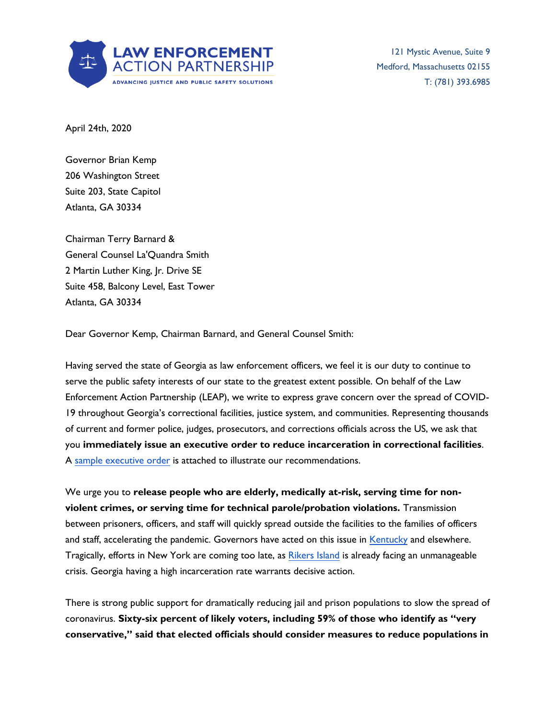

121 Mystic Avenue, Suite 9 Medford, Massachusetts 02155 T: (781) 393.6985

April 24th, 2020

Governor Brian Kemp 206 Washington Street Suite 203, State Capitol Atlanta, GA 30334

Chairman Terry Barnard & General Counsel La'Quandra Smith 2 Martin Luther King, Jr. Drive SE Suite 458, Balcony Level, East Tower Atlanta, GA 30334

Dear Governor Kemp, Chairman Barnard, and General Counsel Smith:

Having served the state of Georgia as law enforcement officers, we feel it is our duty to continue to serve the public safety interests of our state to the greatest extent possible. On behalf of the Law Enforcement Action Partnership (LEAP), we write to express grave concern over the spread of COVID-19 throughout Georgia's correctional facilities, justice system, and communities. Representing thousands of current and former police, judges, prosecutors, and corrections officials across the US, we ask that you **immediately issue an executive order to reduce incarceration in correctional facilities**. A [sample executive order](about:blank) is attached to illustrate our recommendations.

We urge you to **release people who are elderly, medically at-risk, serving time for nonviolent crimes, or serving time for technical parole/probation violations.** Transmission between prisoners, officers, and staff will quickly spread outside the facilities to the families of officers and staff, accelerating the pandemic. Governors have acted on this issue in [Kentucky](about:blank) and elsewhere. Tragically, efforts in New York are coming too late, as [Rikers Island](about:blank) is already facing an unmanageable crisis. Georgia having a high incarceration rate warrants decisive action.

There is strong public support for dramatically reducing jail and prison populations to slow the spread of coronavirus. **Sixty-six percent of likely voters, including 59% of those who identify as "very conservative," said that elected officials should consider measures to reduce populations in**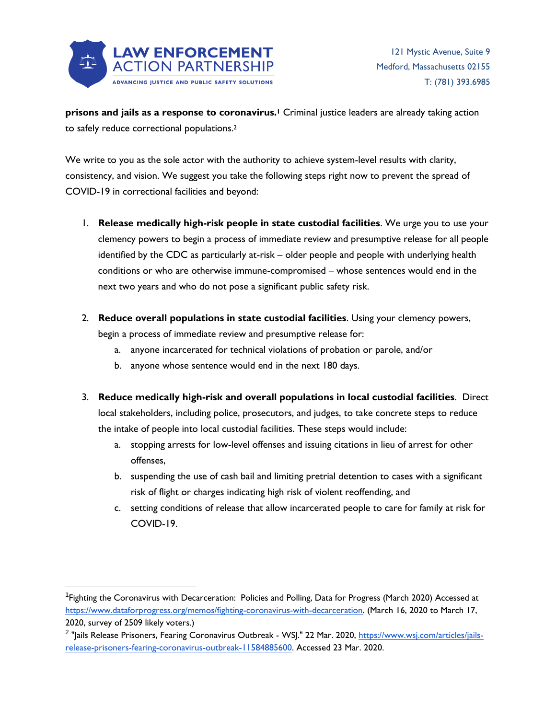

**prisons and jails as a response to coronavirus.<sup>1</sup>** Criminal justice leaders are already taking action to safely reduce correctional populations.<sup>2</sup>

We write to you as the sole actor with the authority to achieve system-level results with clarity, consistency, and vision. We suggest you take the following steps right now to prevent the spread of COVID-19 in correctional facilities and beyond:

- 1. **Release medically high-risk people in state custodial facilities**. We urge you to use your clemency powers to begin a process of immediate review and presumptive release for all people identified by the CDC as particularly at-risk – older people and people with underlying health conditions or who are otherwise immune-compromised – whose sentences would end in the next two years and who do not pose a significant public safety risk.
- 2. **Reduce overall populations in state custodial facilities**. Using your clemency powers, begin a process of immediate review and presumptive release for:
	- a. anyone incarcerated for technical violations of probation or parole, and/or
	- b. anyone whose sentence would end in the next 180 days.
- 3. **Reduce medically high-risk and overall populations in local custodial facilities**. Direct local stakeholders, including police, prosecutors, and judges, to take concrete steps to reduce the intake of people into local custodial facilities. These steps would include:
	- a. stopping arrests for low-level offenses and issuing citations in lieu of arrest for other offenses,
	- b. suspending the use of cash bail and limiting pretrial detention to cases with a significant risk of flight or charges indicating high risk of violent reoffending, and
	- c. setting conditions of release that allow incarcerated people to care for family at risk for COVID-19.

<sup>&</sup>lt;sup>1</sup> Fighting the Coronavirus with Decarceration: Policies and Polling, Data for Progress (March 2020) Accessed at [https://www.dataforprogress.org/memos/fighting-coronavirus-with-decarceration.](about:blank) (March 16, 2020 to March 17, 2020, survey of 2509 likely voters.)

<sup>&</sup>lt;sup>2</sup> "Jails Release Prisoners, Fearing Coronavirus Outbreak - WSJ." 22 Mar. 2020, <u>https://www.wsj.com/articles/jails</u>[release-prisoners-fearing-coronavirus-outbreak-11584885600.](about:blank) Accessed 23 Mar. 2020.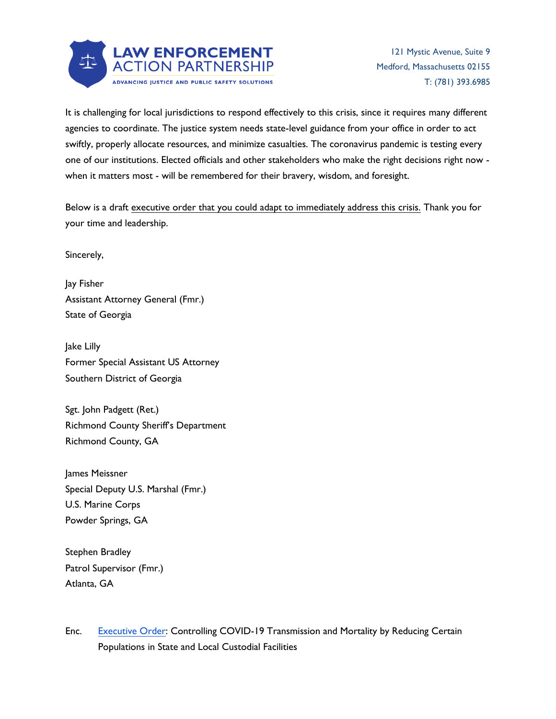

It is challenging for local jurisdictions to respond effectively to this crisis, since it requires many different agencies to coordinate. The justice system needs state-level guidance from your office in order to act swiftly, properly allocate resources, and minimize casualties. The coronavirus pandemic is testing every one of our institutions. Elected officials and other stakeholders who make the right decisions right now when it matters most - will be remembered for their bravery, wisdom, and foresight.

Below is a draft executive order that you could adapt to immediately address this crisis. Thank you for your time and leadership.

Sincerely,

Jay Fisher Assistant Attorney General (Fmr.) State of Georgia

Jake Lilly Former Special Assistant US Attorney Southern District of Georgia

Sgt. John Padgett (Ret.) Richmond County Sheriff's Department Richmond County, GA

James Meissner Special Deputy U.S. Marshal (Fmr.) U.S. Marine Corps Powder Springs, GA

Stephen Bradley Patrol Supervisor (Fmr.) Atlanta, GA

Enc. [Executive Order:](about:blank) Controlling COVID-19 Transmission and Mortality by Reducing Certain Populations in State and Local Custodial Facilities